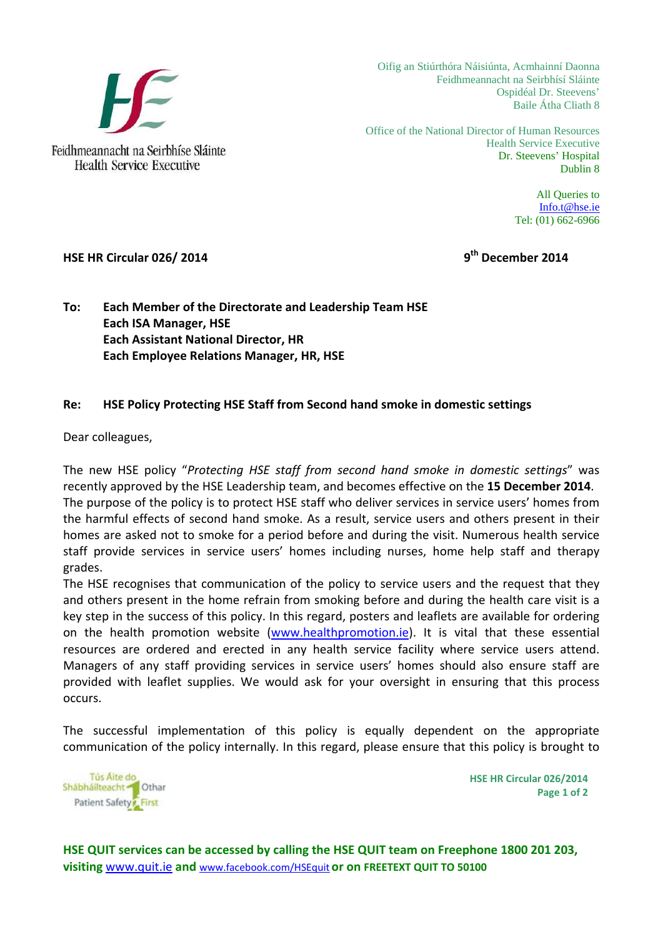

Oifig an Stiúrthóra Náisiúnta, Acmhainní Daonna Feidhmeannacht na Seirbhísí Sláinte Ospidéal Dr. Steevens' Baile Átha Cliath 8

Office of the National Director of Human Resources Health Service Executive Dr. Steevens' Hospital Dublin 8

> All Queries to Info.t@hse.ie Tel: (01) 662-6966

### **HSE HR Circular 026/ 2014 9th December 2014**

**To: Each Member of the Directorate and Leadership Team HSE Each ISA Manager, HSE Each Assistant National Director, HR Each Employee Relations Manager, HR, HSE**

#### **Re: HSE Policy Protecting HSE Staff from Second hand smoke in domestic settings**

Dear colleagues,

The new HSE policy "*Protecting HSE staff from second hand smoke in domestic settings*" was recently approved by the HSE Leadership team, and becomes effective on the **15 December 2014**. The purpose of the policy is to protect HSE staff who deliver services in service users' homes from the harmful effects of second hand smoke. As a result, service users and others present in their homes are asked not to smoke for a period before and during the visit. Numerous health service staff provide services in service users' homes including nurses, home help staff and therapy grades.

The HSE recognises that communication of the policy to service users and the request that they and others present in the home refrain from smoking before and during the health care visit is a key step in the success of this policy. In this regard, posters and leaflets are available for ordering on the health promotion website (www.healthpromotion.ie). It is vital that these essential resources are ordered and erected in any health service facility where service users attend. Managers of any staff providing services in service users' homes should also ensure staff are provided with leaflet supplies. We would ask for your oversight in ensuring that this process occurs.

The successful implementation of this policy is equally dependent on the appropriate communication of the policy internally. In this regard, please ensure that this policy is brought to



**HSE HR Circular 026/2014 Page 1 of 2**

**HSE QUIT services can be accessed by calling the HSE QUIT team on Freephone 1800 201 203, visiting** www.quit.ie **and** www.facebook.com/HSEquit **or on FREETEXT QUIT TO 50100**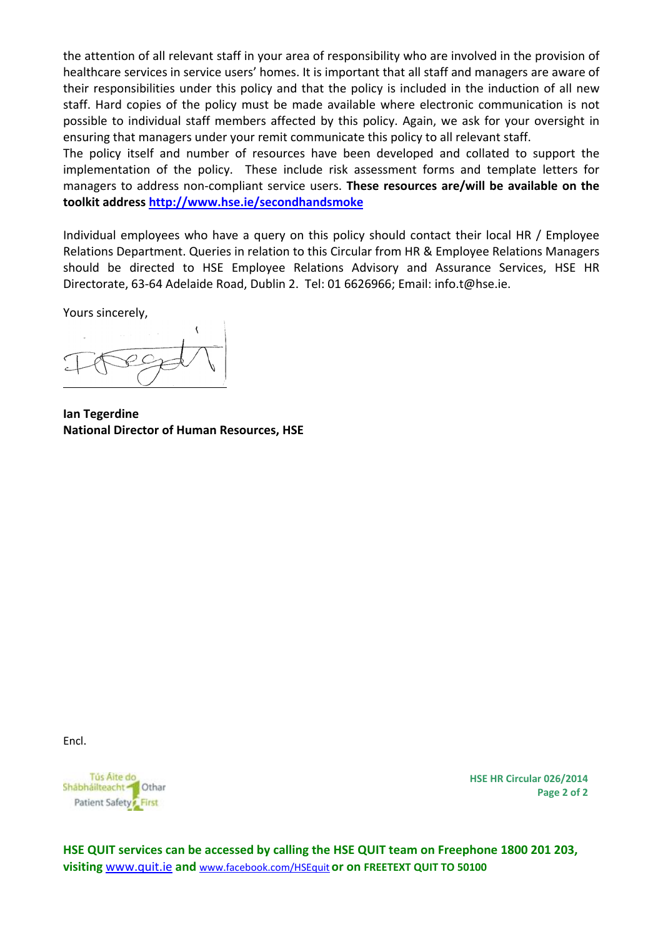the attention of all relevant staff in your area of responsibility who are involved in the provision of healthcare services in service users' homes. It is important that all staff and managers are aware of their responsibilities under this policy and that the policy is included in the induction of all new staff. Hard copies of the policy must be made available where electronic communication is not possible to individual staff members affected by this policy. Again, we ask for your oversight in ensuring that managers under your remit communicate this policy to all relevant staff.

The policy itself and number of resources have been developed and collated to support the implementation of the policy. These include risk assessment forms and template letters for managers to address non‐compliant service users. **These resources are/will be available on the toolkit address http://www.hse.ie/secondhandsmoke**

Individual employees who have a query on this policy should contact their local HR / Employee Relations Department. Queries in relation to this Circular from HR & Employee Relations Managers should be directed to HSE Employee Relations Advisory and Assurance Services, HSE HR Directorate, 63‐64 Adelaide Road, Dublin 2. Tel: 01 6626966; Email: info.t@hse.ie.

Yours sincerely,

**Ian Tegerdine National Director of Human Resources, HSE** 

Encl.



**HSE HR Circular 026/2014 Page 2 of 2**

**HSE QUIT services can be accessed by calling the HSE QUIT team on Freephone 1800 201 203, visiting** www.quit.ie **and** www.facebook.com/HSEquit **or on FREETEXT QUIT TO 50100**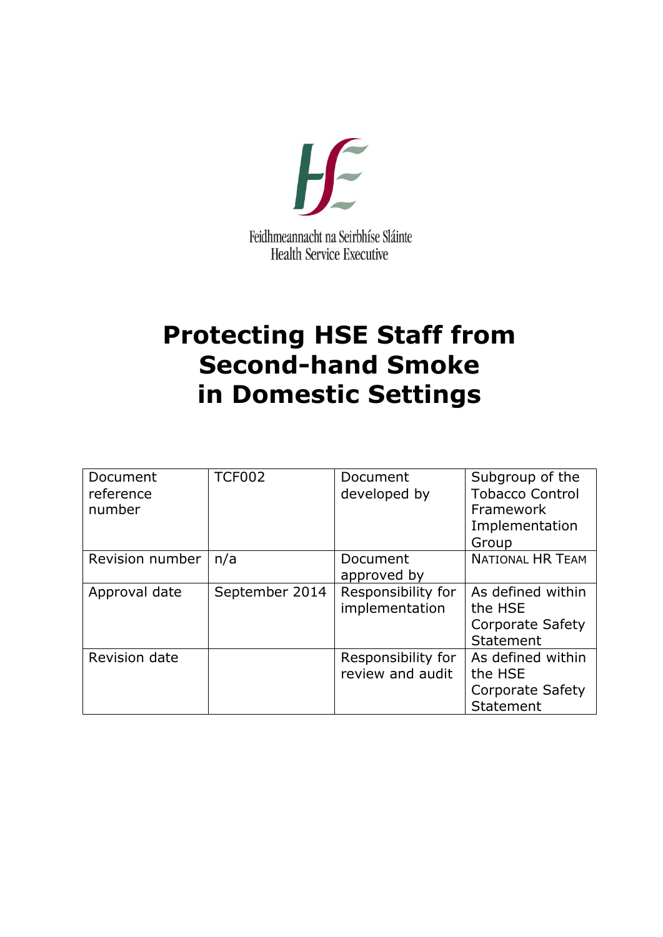

# **Protecting HSE Staff from Second-hand Smoke in Domestic Settings**

| Document<br>reference<br>number | <b>TCF002</b>  | Document<br>developed by               | Subgroup of the<br><b>Tobacco Control</b><br>Framework<br>Implementation<br>Group |
|---------------------------------|----------------|----------------------------------------|-----------------------------------------------------------------------------------|
| Revision number                 | n/a            | Document<br>approved by                | <b>NATIONAL HR TEAM</b>                                                           |
| Approval date                   | September 2014 | Responsibility for<br>implementation   | As defined within<br>the HSE<br><b>Corporate Safety</b><br>Statement              |
| Revision date                   |                | Responsibility for<br>review and audit | As defined within<br>the HSE<br><b>Corporate Safety</b><br>Statement              |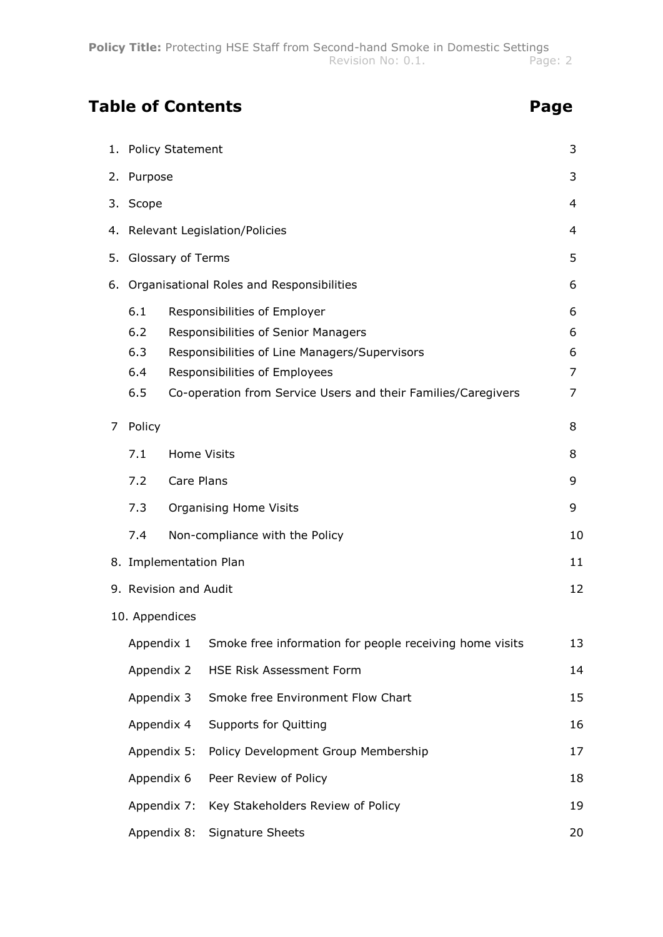### **Table of Contents Page**

|                | 1. Policy Statement                                    |                    |                                                                                                                                                                                                                        | 3                     |
|----------------|--------------------------------------------------------|--------------------|------------------------------------------------------------------------------------------------------------------------------------------------------------------------------------------------------------------------|-----------------------|
|                | 2. Purpose                                             |                    |                                                                                                                                                                                                                        | 3                     |
|                | 3. Scope                                               |                    |                                                                                                                                                                                                                        | 4                     |
|                |                                                        |                    | 4. Relevant Legislation/Policies                                                                                                                                                                                       | 4                     |
| 5.             | Glossary of Terms                                      |                    |                                                                                                                                                                                                                        | 5                     |
| 6.             |                                                        |                    | Organisational Roles and Responsibilities                                                                                                                                                                              | 6                     |
|                | 6.1<br>6.2<br>6.3<br>6.4<br>6.5                        |                    | Responsibilities of Employer<br>Responsibilities of Senior Managers<br>Responsibilities of Line Managers/Supervisors<br>Responsibilities of Employees<br>Co-operation from Service Users and their Families/Caregivers | 6<br>6<br>6<br>7<br>7 |
| $\overline{7}$ | Policy                                                 |                    |                                                                                                                                                                                                                        | 8                     |
|                | 7.1                                                    | <b>Home Visits</b> |                                                                                                                                                                                                                        | 8                     |
|                | 7.2                                                    | Care Plans         |                                                                                                                                                                                                                        | 9                     |
|                | 7.3<br><b>Organising Home Visits</b><br>9              |                    |                                                                                                                                                                                                                        |                       |
|                | Non-compliance with the Policy<br>7.4<br>10            |                    |                                                                                                                                                                                                                        |                       |
|                |                                                        |                    | 8. Implementation Plan                                                                                                                                                                                                 | 11                    |
|                | 9. Revision and Audit                                  |                    |                                                                                                                                                                                                                        | 12                    |
|                | 10. Appendices                                         |                    |                                                                                                                                                                                                                        |                       |
|                | Appendix 1                                             |                    | Smoke free information for people receiving home visits                                                                                                                                                                | 13                    |
|                | Appendix 2                                             |                    | HSE Risk Assessment Form                                                                                                                                                                                               | 14                    |
|                | Appendix 3                                             |                    | Smoke free Environment Flow Chart                                                                                                                                                                                      | 15                    |
|                | Appendix 4                                             |                    | <b>Supports for Quitting</b>                                                                                                                                                                                           | 16                    |
|                | Appendix 5:                                            |                    | Policy Development Group Membership                                                                                                                                                                                    | 17                    |
|                | Appendix 6                                             |                    | Peer Review of Policy                                                                                                                                                                                                  | 18                    |
|                | Key Stakeholders Review of Policy<br>Appendix 7:<br>19 |                    |                                                                                                                                                                                                                        |                       |
|                | Appendix 8:                                            |                    | Signature Sheets                                                                                                                                                                                                       | 20                    |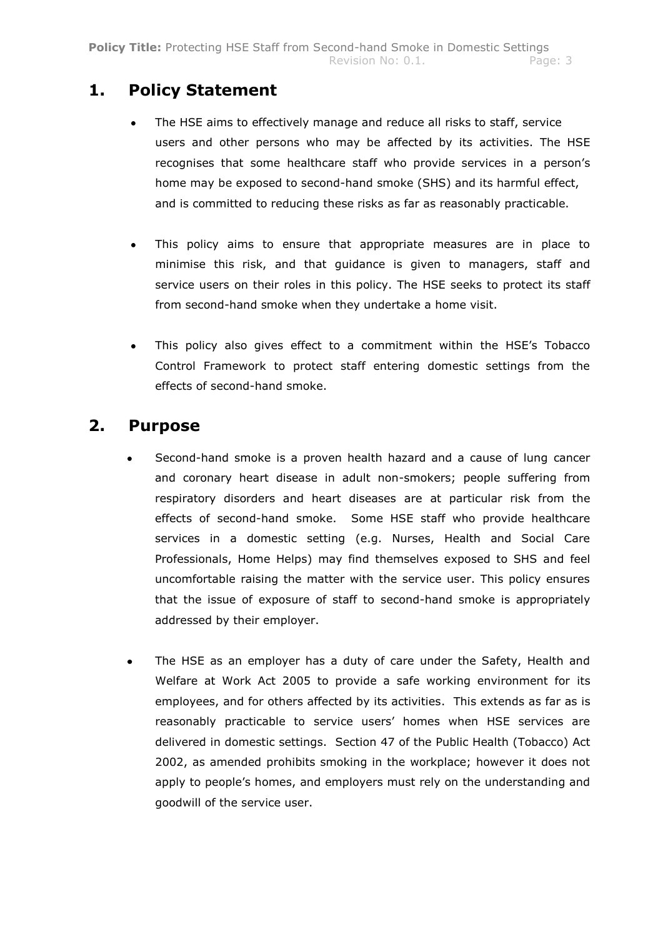### **1. Policy Statement**

- The HSE aims to effectively manage and reduce all risks to staff, service users and other persons who may be affected by its activities. The HSE recognises that some healthcare staff who provide services in a person"s home may be exposed to second-hand smoke (SHS) and its harmful effect, and is committed to reducing these risks as far as reasonably practicable.
- This policy aims to ensure that appropriate measures are in place to  $\bullet$ minimise this risk, and that guidance is given to managers, staff and service users on their roles in this policy. The HSE seeks to protect its staff from second-hand smoke when they undertake a home visit.
- This policy also gives effect to a commitment within the HSE"s Tobacco  $\bullet$ Control Framework to protect staff entering domestic settings from the effects of second-hand smoke.

### **2. Purpose**

- Second-hand smoke is a proven health hazard and a cause of lung cancer and coronary heart disease in adult non-smokers; people suffering from respiratory disorders and heart diseases are at particular risk from the effects of second-hand smoke. Some HSE staff who provide healthcare services in a domestic setting (e.g. Nurses, Health and Social Care Professionals, Home Helps) may find themselves exposed to SHS and feel uncomfortable raising the matter with the service user. This policy ensures that the issue of exposure of staff to second-hand smoke is appropriately addressed by their employer.
- $\bullet$ The HSE as an employer has a duty of care under the Safety, Health and Welfare at Work Act 2005 to provide a safe working environment for its employees, and for others affected by its activities. This extends as far as is reasonably practicable to service users' homes when HSE services are delivered in domestic settings. Section 47 of the Public Health (Tobacco) Act 2002, as amended prohibits smoking in the workplace; however it does not apply to people"s homes, and employers must rely on the understanding and goodwill of the service user.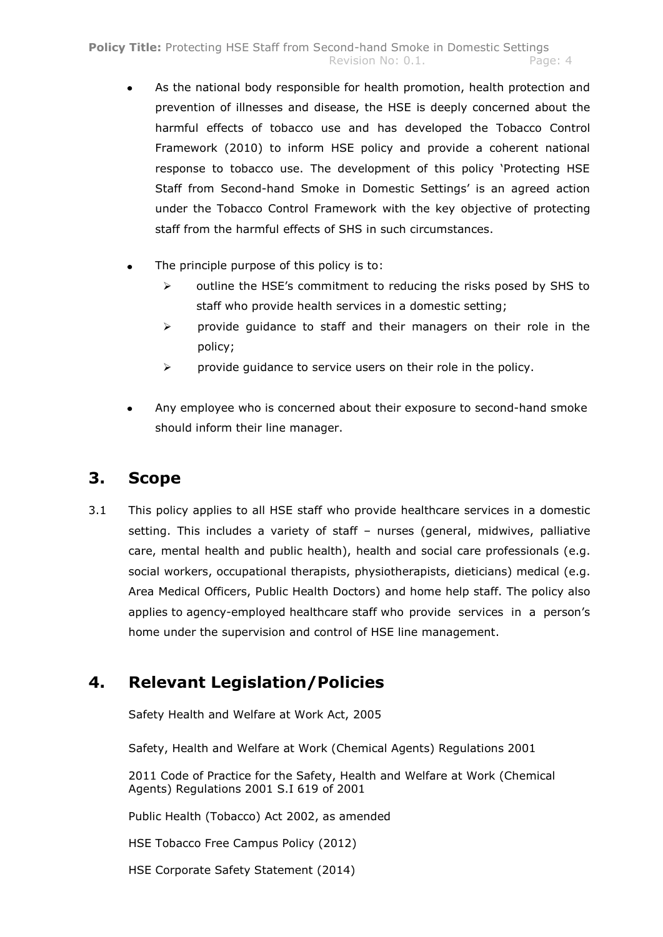- As the national body responsible for health promotion, health protection and prevention of illnesses and disease, the HSE is deeply concerned about the harmful effects of tobacco use and has developed the Tobacco Control Framework (2010) to inform HSE policy and provide a coherent national response to tobacco use. The development of this policy "Protecting HSE Staff from Second-hand Smoke in Domestic Settings' is an agreed action under the Tobacco Control Framework with the key objective of protecting staff from the harmful effects of SHS in such circumstances.
- The principle purpose of this policy is to:
	- $\triangleright$  outline the HSE's commitment to reducing the risks posed by SHS to staff who provide health services in a domestic setting;
	- $\triangleright$  provide quidance to staff and their managers on their role in the policy;
	- $\triangleright$  provide guidance to service users on their role in the policy.
- Any employee who is concerned about their exposure to second-hand smoke should inform their line manager.

### **3. Scope**

3.1 This policy applies to all HSE staff who provide healthcare services in a domestic setting. This includes a variety of staff – nurses (general, midwives, palliative care, mental health and public health), health and social care professionals (e.g. social workers, occupational therapists, physiotherapists, dieticians) medical (e.g. Area Medical Officers, Public Health Doctors) and home help staff. The policy also applies to agency-employed healthcare staff who provide services in a person"s home under the supervision and control of HSE line management.

### **4. Relevant Legislation/Policies**

Safety Health and Welfare at Work Act, 2005

Safety, Health and Welfare at Work (Chemical Agents) Regulations 2001

2011 Code of Practice for the Safety, Health and Welfare at Work (Chemical Agents) Regulations 2001 S.I 619 of 2001

Public Health (Tobacco) Act 2002, as amended

HSE Tobacco Free Campus Policy (2012)

HSE Corporate Safety Statement (2014)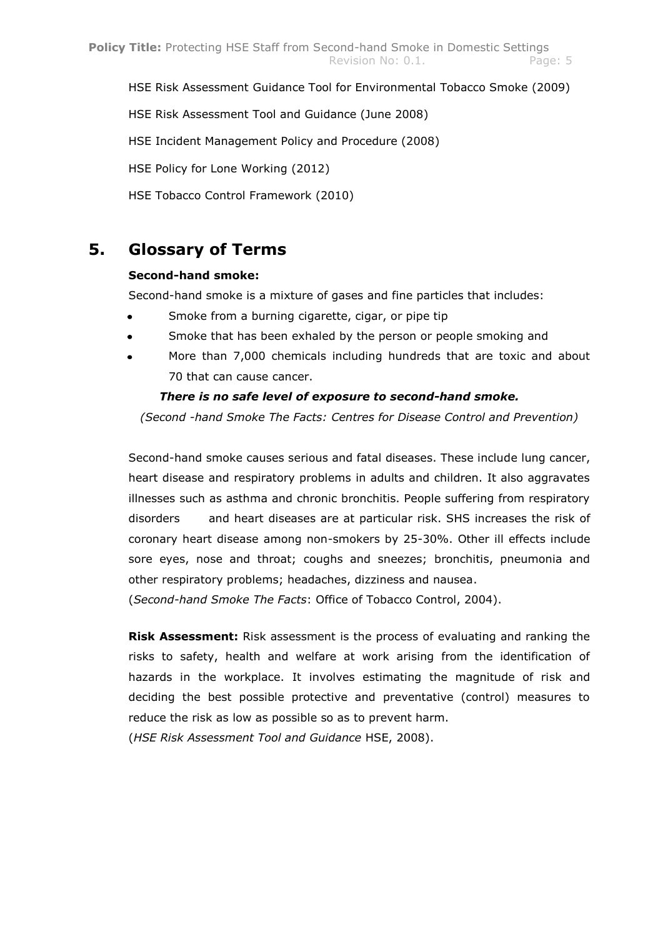HSE Risk Assessment Guidance Tool for Environmental Tobacco Smoke (2009)

HSE Risk Assessment Tool and Guidance (June 2008)

HSE Incident Management Policy and Procedure (2008)

HSE Policy for Lone Working (2012)

HSE Tobacco Control Framework (2010)

### **5. Glossary of Terms**

#### **Second-hand smoke:**

Second-hand smoke is a mixture of gases and fine particles that includes:

- Smoke from a burning cigarette, cigar, or pipe tip
- Smoke that has been exhaled by the person or people smoking and
- More than 7,000 chemicals including hundreds that are toxic and about 70 that can cause cancer.

#### *There is no safe level of exposure to second-hand smoke.*

*(Second -hand Smoke The Facts: Centres for Disease Control and Prevention)*

Second-hand smoke causes serious and fatal diseases. These include lung cancer, heart disease and respiratory problems in adults and children. It also aggravates illnesses such as asthma and chronic bronchitis. People suffering from respiratory disorders and heart diseases are at particular risk. SHS increases the risk of coronary heart disease among non-smokers by 25-30%. Other ill effects include sore eyes, nose and throat; coughs and sneezes; bronchitis, pneumonia and other respiratory problems; headaches, dizziness and nausea.

(*Second-hand Smoke The Facts*: Office of Tobacco Control, 2004).

**Risk Assessment:** Risk assessment is the process of evaluating and ranking the risks to safety, health and welfare at work arising from the identification of hazards in the workplace. It involves estimating the magnitude of risk and deciding the best possible protective and preventative (control) measures to reduce the risk as low as possible so as to prevent harm.

(*HSE Risk Assessment Tool and Guidance* HSE, 2008).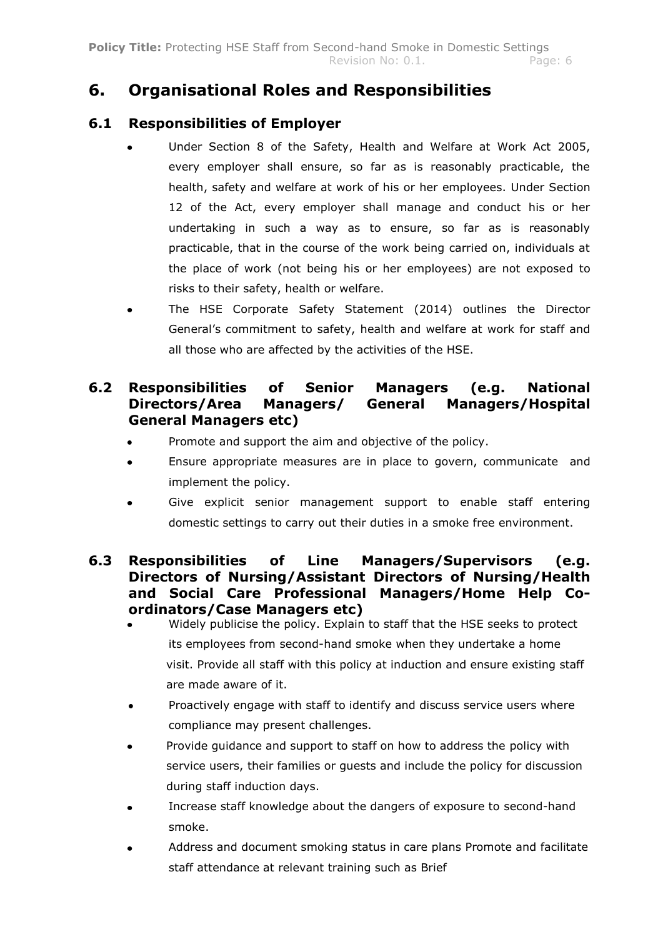### **6. Organisational Roles and Responsibilities**

### **6.1 Responsibilities of Employer**

- Under Section 8 of the Safety, Health and Welfare at Work Act 2005, every employer shall ensure, so far as is reasonably practicable, the health, safety and welfare at work of his or her employees. Under Section 12 of the Act, every employer shall manage and conduct his or her undertaking in such a way as to ensure, so far as is reasonably practicable, that in the course of the work being carried on, individuals at the place of work (not being his or her employees) are not exposed to risks to their safety, health or welfare.
- The HSE Corporate Safety Statement (2014) outlines the Director  $\bullet$ General"s commitment to safety, health and welfare at work for staff and all those who are affected by the activities of the HSE.

### **6.2 Responsibilities of Senior Managers (e.g. National Directors/Area Managers/ General Managers/Hospital General Managers etc)**

- Promote and support the aim and objective of the policy.
- Ensure appropriate measures are in place to govern, communicate and implement the policy.
- $\bullet$ Give explicit senior management support to enable staff entering domestic settings to carry out their duties in a smoke free environment.

### **6.3 Responsibilities of Line Managers/Supervisors (e.g. Directors of Nursing/Assistant Directors of Nursing/Health and Social Care Professional Managers/Home Help Coordinators/Case Managers etc)**

- Widely publicise the policy. Explain to staff that the HSE seeks to protect its employees from second-hand smoke when they undertake a home visit. Provide all staff with this policy at induction and ensure existing staff are made aware of it.
- Proactively engage with staff to identify and discuss service users where  $\bullet$ compliance may present challenges.
- Provide guidance and support to staff on how to address the policy with  $\bullet$ service users, their families or guests and include the policy for discussion during staff induction days.
- Increase staff knowledge about the dangers of exposure to second-hand  $\bullet$ smoke.
- Address and document smoking status in care plans Promote and facilitate  $\bullet$ staff attendance at relevant training such as Brief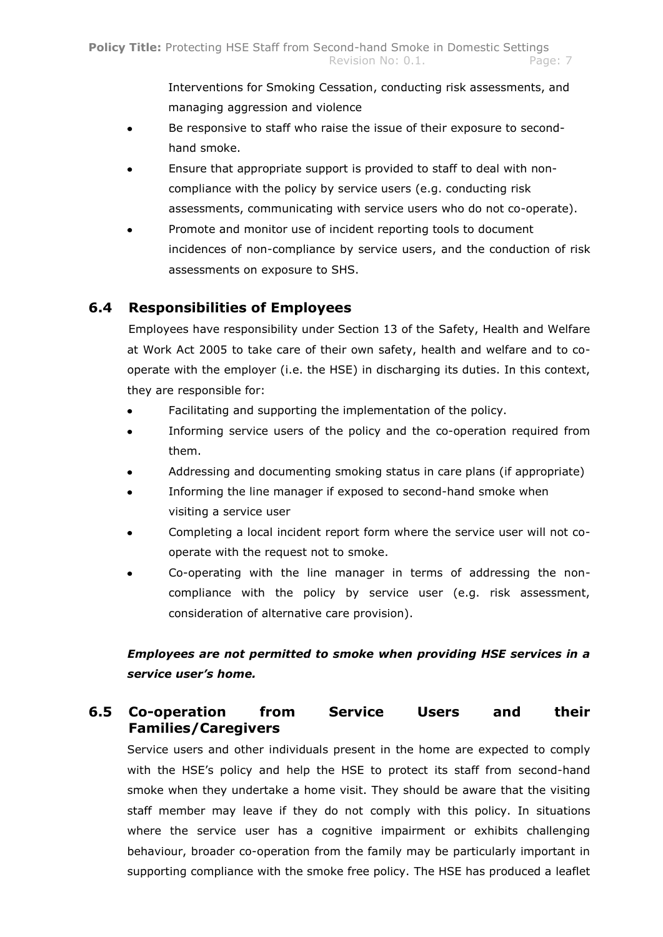Interventions for Smoking Cessation, conducting risk assessments, and managing aggression and violence

- Be responsive to staff who raise the issue of their exposure to second- $\bullet$ hand smoke.
- Ensure that appropriate support is provided to staff to deal with non- $\bullet$ compliance with the policy by service users (e.g. conducting risk assessments, communicating with service users who do not co-operate).
- Promote and monitor use of incident reporting tools to document  $\blacksquare$ incidences of non-compliance by service users, and the conduction of risk assessments on exposure to SHS.

### **6.4 Responsibilities of Employees**

Employees have responsibility under Section 13 of the Safety, Health and Welfare at Work Act 2005 to take care of their own safety, health and welfare and to cooperate with the employer (i.e. the HSE) in discharging its duties. In this context, they are responsible for:

- Facilitating and supporting the implementation of the policy.  $\bullet$
- Informing service users of the policy and the co-operation required from  $\bullet$ them.
- Addressing and documenting smoking status in care plans (if appropriate)
- Informing the line manager if exposed to second-hand smoke when  $\bullet$ visiting a service user
- Completing a local incident report form where the service user will not co- $\bullet$ operate with the request not to smoke.
- Co-operating with the line manager in terms of addressing the non- $\bullet$ compliance with the policy by service user (e.g. risk assessment, consideration of alternative care provision).

### *Employees are not permitted to smoke when providing HSE services in a service user's home.*

### **6.5 Co-operation from Service Users and their Families/Caregivers**

Service users and other individuals present in the home are expected to comply with the HSE"s policy and help the HSE to protect its staff from second-hand smoke when they undertake a home visit. They should be aware that the visiting staff member may leave if they do not comply with this policy. In situations where the service user has a cognitive impairment or exhibits challenging behaviour, broader co-operation from the family may be particularly important in supporting compliance with the smoke free policy. The HSE has produced a leaflet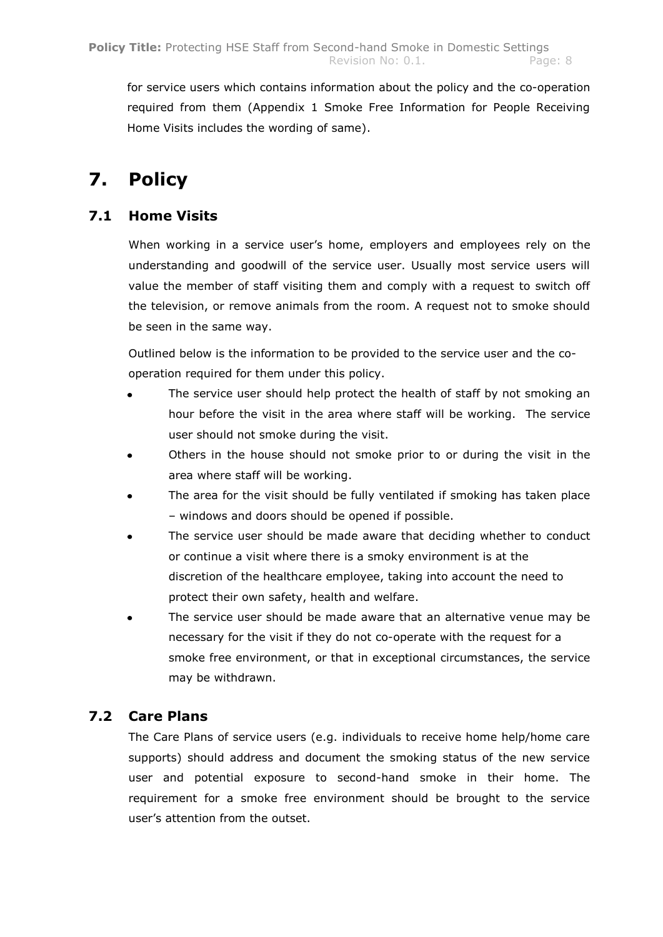for service users which contains information about the policy and the co-operation required from them (Appendix 1 Smoke Free Information for People Receiving Home Visits includes the wording of same).

## **7. Policy**

### **7.1 Home Visits**

When working in a service user"s home, employers and employees rely on the understanding and goodwill of the service user. Usually most service users will value the member of staff visiting them and comply with a request to switch off the television, or remove animals from the room. A request not to smoke should be seen in the same way.

Outlined below is the information to be provided to the service user and the cooperation required for them under this policy.

- The service user should help protect the health of staff by not smoking an hour before the visit in the area where staff will be working. The service user should not smoke during the visit.
- Others in the house should not smoke prior to or during the visit in the  $\bullet$ area where staff will be working.
- The area for the visit should be fully ventilated if smoking has taken place – windows and doors should be opened if possible.
- The service user should be made aware that deciding whether to conduct or continue a visit where there is a smoky environment is at the discretion of the healthcare employee, taking into account the need to protect their own safety, health and welfare.
- $\bullet$ The service user should be made aware that an alternative venue may be necessary for the visit if they do not co-operate with the request for a smoke free environment, or that in exceptional circumstances, the service may be withdrawn.

### **7.2 Care Plans**

The Care Plans of service users (e.g. individuals to receive home help/home care supports) should address and document the smoking status of the new service user and potential exposure to second-hand smoke in their home. The requirement for a smoke free environment should be brought to the service user"s attention from the outset.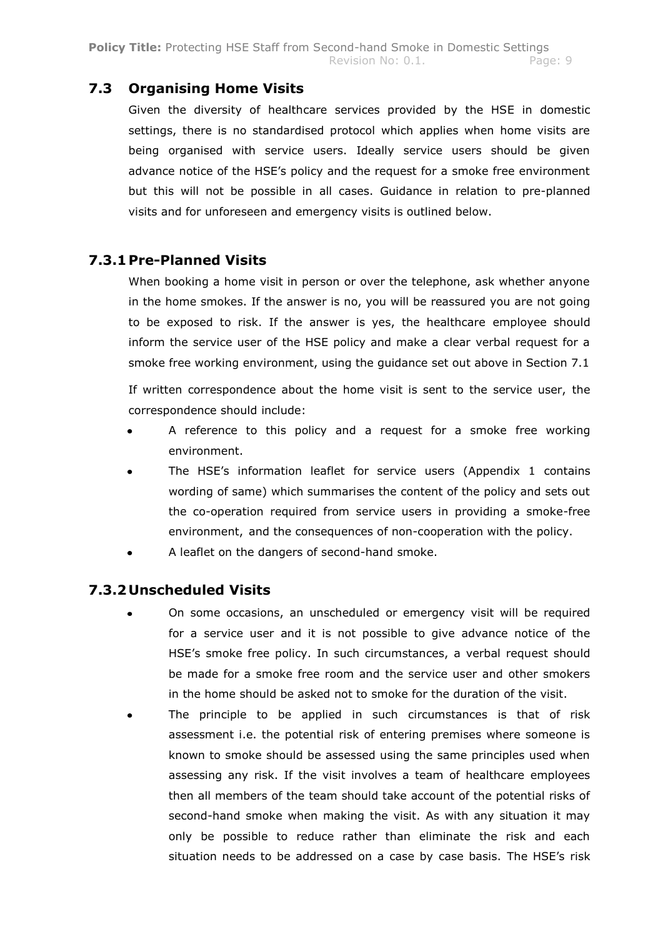### **7.3 Organising Home Visits**

Given the diversity of healthcare services provided by the HSE in domestic settings, there is no standardised protocol which applies when home visits are being organised with service users. Ideally service users should be given advance notice of the HSE"s policy and the request for a smoke free environment but this will not be possible in all cases. Guidance in relation to pre-planned visits and for unforeseen and emergency visits is outlined below.

### **7.3.1 Pre-Planned Visits**

When booking a home visit in person or over the telephone, ask whether anyone in the home smokes. If the answer is no, you will be reassured you are not going to be exposed to risk. If the answer is yes, the healthcare employee should inform the service user of the HSE policy and make a clear verbal request for a smoke free working environment, using the guidance set out above in Section 7.1

If written correspondence about the home visit is sent to the service user, the correspondence should include:

- A reference to this policy and a request for a smoke free working environment.
- The HSE"s information leaflet for service users (Appendix 1 contains wording of same) which summarises the content of the policy and sets out the co-operation required from service users in providing a smoke-free environment, and the consequences of non-cooperation with the policy.
- A leaflet on the dangers of second-hand smoke.

### **7.3.2 Unscheduled Visits**

- On some occasions, an unscheduled or emergency visit will be required for a service user and it is not possible to give advance notice of the HSE"s smoke free policy. In such circumstances, a verbal request should be made for a smoke free room and the service user and other smokers in the home should be asked not to smoke for the duration of the visit.
- The principle to be applied in such circumstances is that of risk assessment i.e. the potential risk of entering premises where someone is known to smoke should be assessed using the same principles used when assessing any risk. If the visit involves a team of healthcare employees then all members of the team should take account of the potential risks of second-hand smoke when making the visit. As with any situation it may only be possible to reduce rather than eliminate the risk and each situation needs to be addressed on a case by case basis. The HSE's risk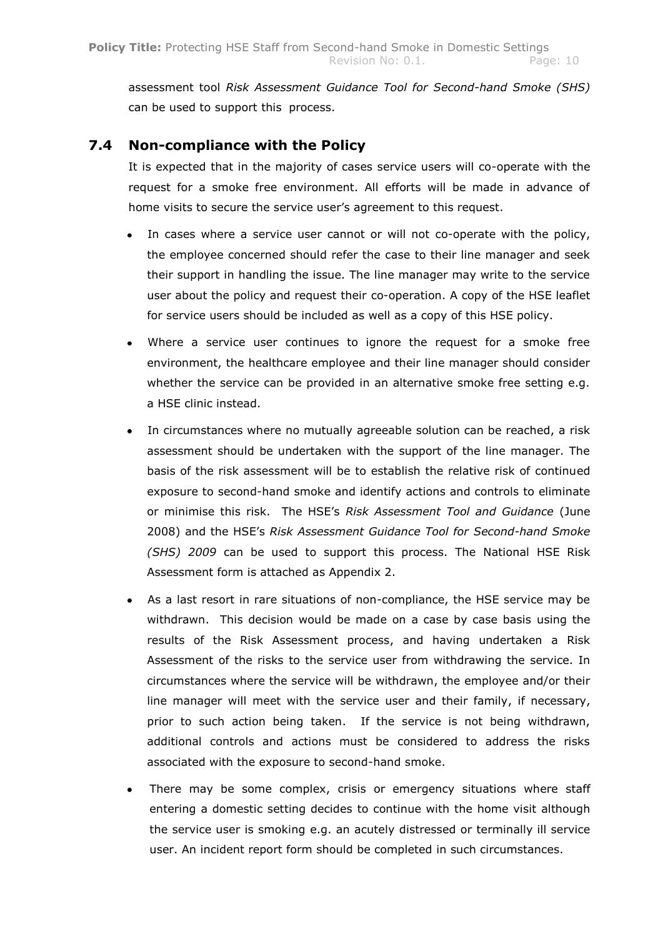assessment tool *Risk Assessment Guidance Tool for Second-hand Smoke (SHS)*  can be used to support this process.

### **7.4 Non-compliance with the Policy**

It is expected that in the majority of cases service users will co-operate with the request for a smoke free environment. All efforts will be made in advance of home visits to secure the service user's agreement to this request.

- In cases where a service user cannot or will not co-operate with the policy, the employee concerned should refer the case to their line manager and seek their support in handling the issue. The line manager may write to the service user about the policy and request their co-operation. A copy of the HSE leaflet for service users should be included as well as a copy of this HSE policy.
- Where a service user continues to ignore the request for a smoke free environment, the healthcare employee and their line manager should consider whether the service can be provided in an alternative smoke free setting e.g. a HSE clinic instead.
- In circumstances where no mutually agreeable solution can be reached, a risk  $\bullet$ assessment should be undertaken with the support of the line manager. The basis of the risk assessment will be to establish the relative risk of continued exposure to second-hand smoke and identify actions and controls to eliminate or minimise this risk. The HSE"s *Risk Assessment Tool and Guidance* (June 2008) and the HSE"s *Risk Assessment Guidance Tool for Second-hand Smoke (SHS) 2009* can be used to support this process. The National HSE Risk Assessment form is attached as Appendix 2.
- As a last resort in rare situations of non-compliance, the HSE service may be withdrawn. This decision would be made on a case by case basis using the results of the Risk Assessment process, and having undertaken a Risk Assessment of the risks to the service user from withdrawing the service. In circumstances where the service will be withdrawn, the employee and/or their line manager will meet with the service user and their family, if necessary, prior to such action being taken. If the service is not being withdrawn, additional controls and actions must be considered to address the risks associated with the exposure to second-hand smoke.
- There may be some complex, crisis or emergency situations where staff entering a domestic setting decides to continue with the home visit although the service user is smoking e.g. an acutely distressed or terminally ill service user. An incident report form should be completed in such circumstances.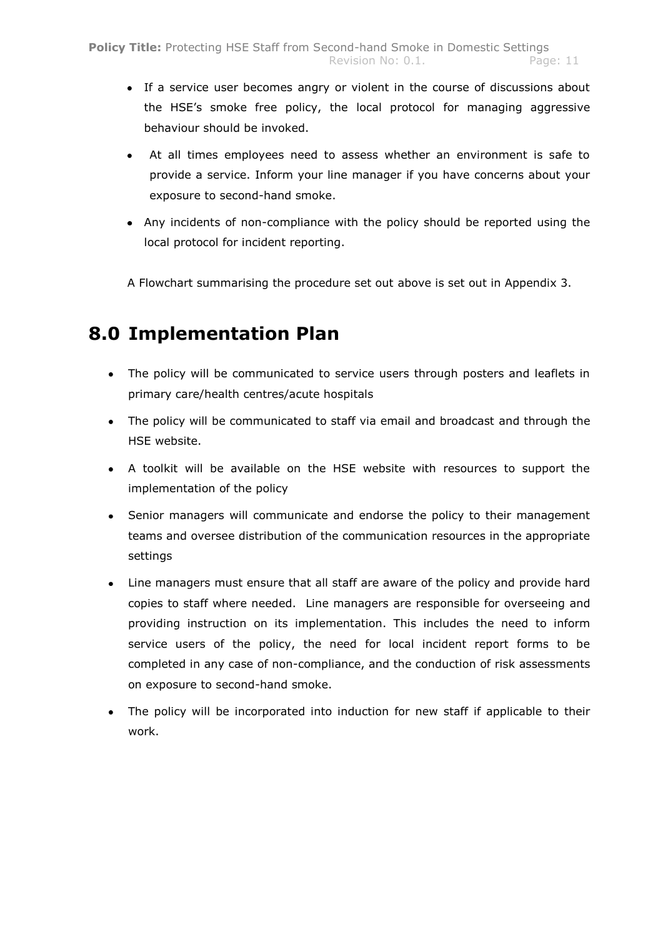- If a service user becomes angry or violent in the course of discussions about the HSE"s smoke free policy, the local protocol for managing aggressive behaviour should be invoked.
- At all times employees need to assess whether an environment is safe to provide a service. Inform your line manager if you have concerns about your exposure to second-hand smoke.
- Any incidents of non-compliance with the policy should be reported using the local protocol for incident reporting.

A Flowchart summarising the procedure set out above is set out in Appendix 3.

### **8.0 Implementation Plan**

- The policy will be communicated to service users through posters and leaflets in primary care/health centres/acute hospitals
- The policy will be communicated to staff via email and broadcast and through the HSE website.
- A toolkit will be available on the HSE website with resources to support the implementation of the policy
- Senior managers will communicate and endorse the policy to their management teams and oversee distribution of the communication resources in the appropriate settings
- Line managers must ensure that all staff are aware of the policy and provide hard copies to staff where needed. Line managers are responsible for overseeing and providing instruction on its implementation. This includes the need to inform service users of the policy, the need for local incident report forms to be completed in any case of non-compliance, and the conduction of risk assessments on exposure to second-hand smoke.
- The policy will be incorporated into induction for new staff if applicable to their work.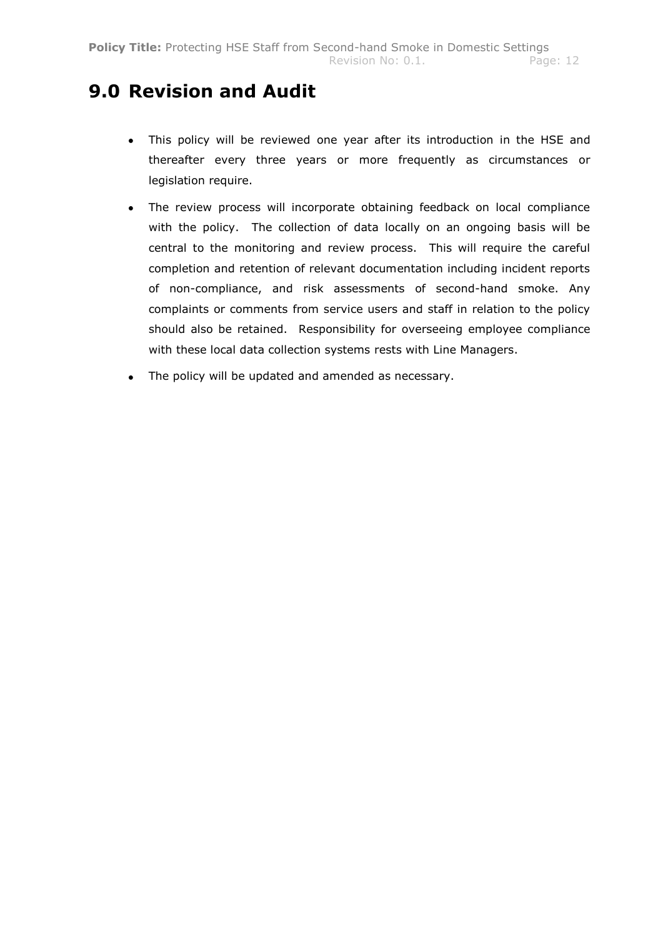### **9.0 Revision and Audit**

- This policy will be reviewed one year after its introduction in the HSE and  $\bullet$ thereafter every three years or more frequently as circumstances or legislation require.
- The review process will incorporate obtaining feedback on local compliance with the policy. The collection of data locally on an ongoing basis will be central to the monitoring and review process. This will require the careful completion and retention of relevant documentation including incident reports of non-compliance, and risk assessments of second-hand smoke. Any complaints or comments from service users and staff in relation to the policy should also be retained. Responsibility for overseeing employee compliance with these local data collection systems rests with Line Managers.
- The policy will be updated and amended as necessary. $\bullet$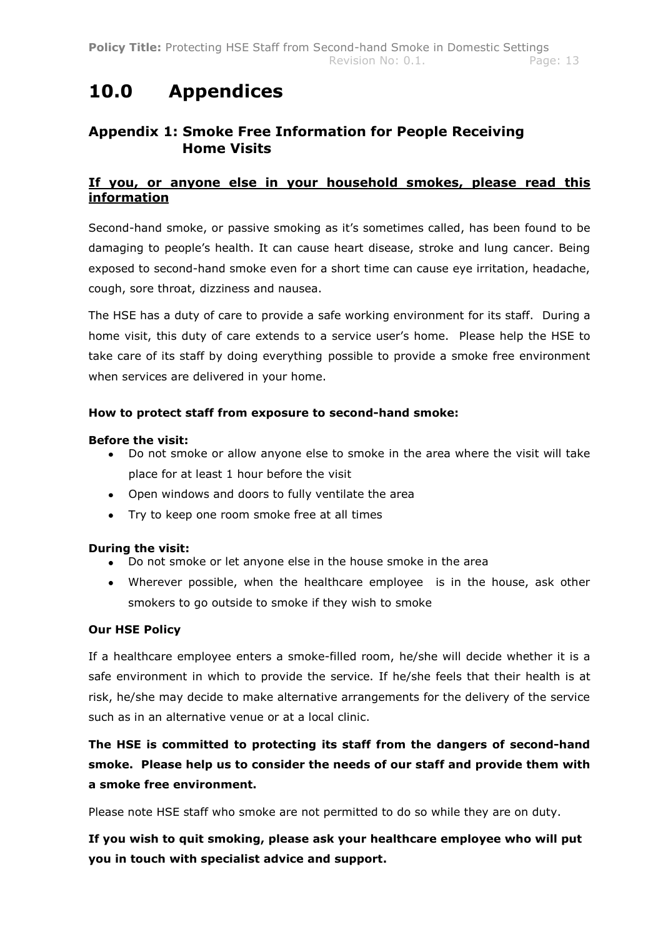### **10.0 Appendices**

### **Appendix 1: Smoke Free Information for People Receiving Home Visits**

### **If you, or anyone else in your household smokes, please read this information**

Second-hand smoke, or passive smoking as it"s sometimes called, has been found to be damaging to people"s health. It can cause heart disease, stroke and lung cancer. Being exposed to second-hand smoke even for a short time can cause eye irritation, headache, cough, sore throat, dizziness and nausea.

The HSE has a duty of care to provide a safe working environment for its staff. During a home visit, this duty of care extends to a service user's home. Please help the HSE to take care of its staff by doing everything possible to provide a smoke free environment when services are delivered in your home.

#### **How to protect staff from exposure to second-hand smoke:**

#### **Before the visit:**

- Do not smoke or allow anyone else to smoke in the area where the visit will take place for at least 1 hour before the visit
- Open windows and doors to fully ventilate the area
- Try to keep one room smoke free at all times

#### **During the visit:**

- Do not smoke or let anyone else in the house smoke in the area
- Wherever possible, when the healthcare employee is in the house, ask other smokers to go outside to smoke if they wish to smoke

#### **Our HSE Policy**

If a healthcare employee enters a smoke-filled room, he/she will decide whether it is a safe environment in which to provide the service. If he/she feels that their health is at risk, he/she may decide to make alternative arrangements for the delivery of the service such as in an alternative venue or at a local clinic.

### **The HSE is committed to protecting its staff from the dangers of second-hand smoke. Please help us to consider the needs of our staff and provide them with a smoke free environment.**

Please note HSE staff who smoke are not permitted to do so while they are on duty.

**If you wish to quit smoking, please ask your healthcare employee who will put you in touch with specialist advice and support.**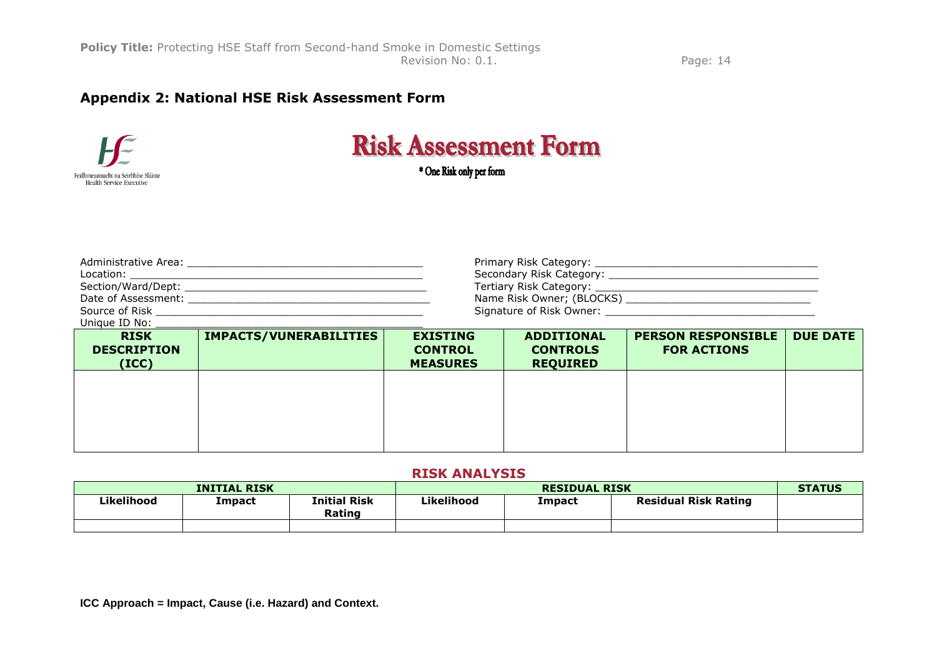### **Appendix 2: National HSE Risk Assessment Form**



# **Risk Assessment Form**

\* One Risk only per form

| Unique ID No:<br><b>DTCV</b> | <b>TMDACTC/VIIMEDADTI TTTEC</b> | <b>EVICTING</b> | <b>ADDITIONAL</b>         | <b>DEDCAN DECDANCTDLE</b> NIE D |  |
|------------------------------|---------------------------------|-----------------|---------------------------|---------------------------------|--|
| Source of Risk               |                                 |                 |                           |                                 |  |
| Date of Assessment:          |                                 |                 | Name Risk Owner; (BLOCKS) |                                 |  |
| Section/Ward/Dept:           |                                 |                 | Tertiary Risk Category:   |                                 |  |
| Location:                    |                                 |                 | Secondary Risk Category:  |                                 |  |
| Administrative Area:         |                                 |                 | Primary Risk Category:    |                                 |  |

| <b>RISK</b><br><b>DESCRIPTION</b><br>(ICC) | <b>IMPACTS/VUNERABILITIES</b> | <b>EXISTING</b><br><b>CONTROL</b><br><b>MEASURES</b> | <b>ADDITIONAL</b><br><b>CONTROLS</b><br><b>REQUIRED</b> | <b>PERSON RESPONSIBLE</b><br><b>FOR ACTIONS</b> | <b>DUE DATE</b> |
|--------------------------------------------|-------------------------------|------------------------------------------------------|---------------------------------------------------------|-------------------------------------------------|-----------------|
|                                            |                               |                                                      |                                                         |                                                 |                 |
|                                            |                               |                                                      |                                                         |                                                 |                 |
|                                            |                               |                                                      |                                                         |                                                 |                 |

### **RISK ANALYSIS**

| <b>INITIAL RISK</b> |               |                        | <b>RESIDUAL RISK</b> |               |                             | <b>STATUS</b> |
|---------------------|---------------|------------------------|----------------------|---------------|-----------------------------|---------------|
| Likelihood          | <b>Impact</b> | Initial Risk<br>Rating | Likelihood           | <b>Impact</b> | <b>Residual Risk Rating</b> |               |
|                     |               |                        |                      |               |                             |               |

**ICC Approach = Impact, Cause (i.e. Hazard) and Context.**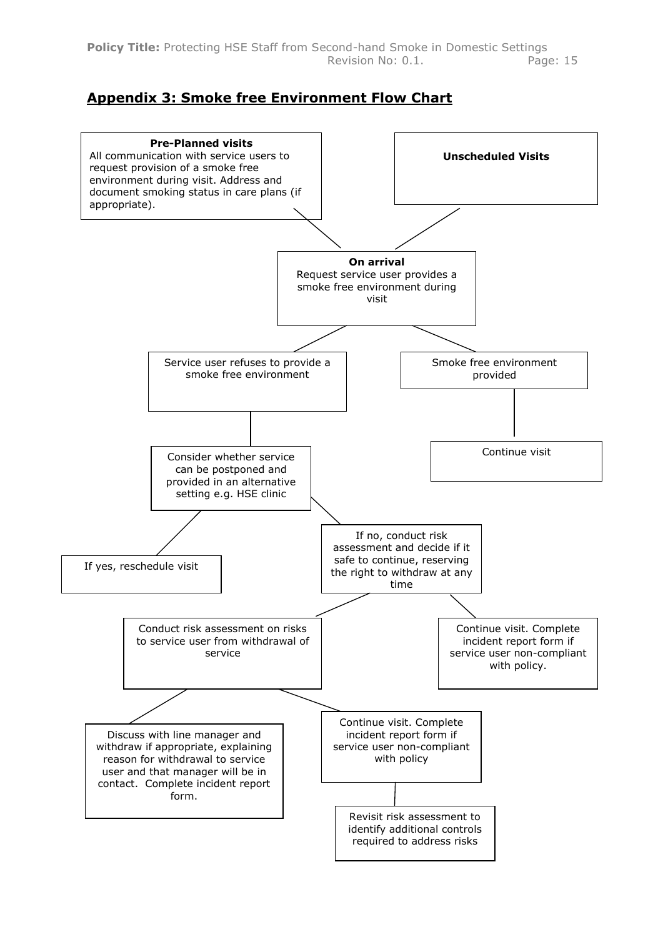### **Appendix 3: Smoke free Environment Flow Chart**

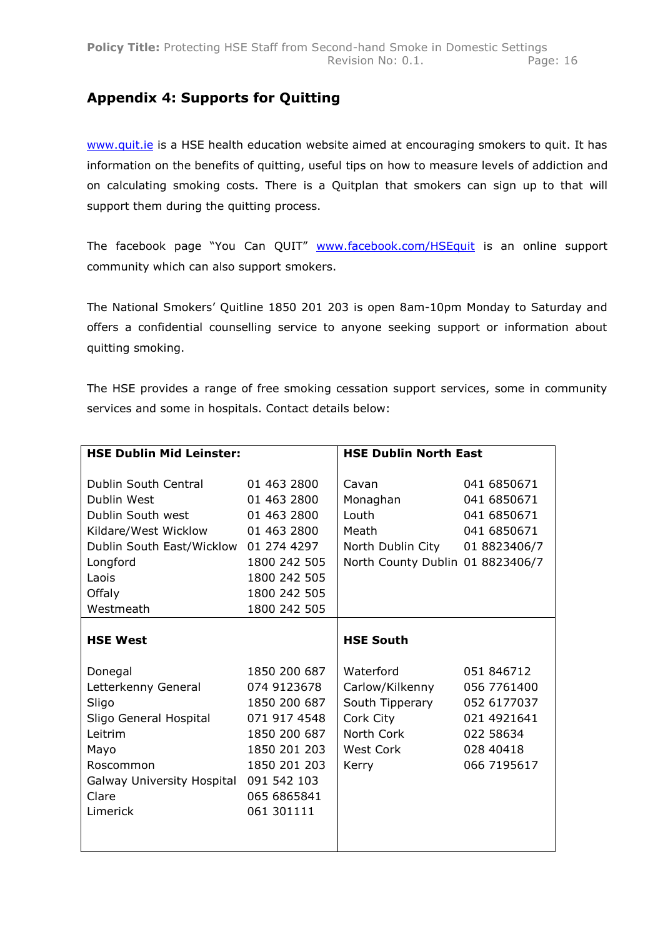### **Appendix 4: Supports for Quitting**

[www.quit.ie](http://www.quit.ie/) is a HSE health education website aimed at encouraging smokers to quit. It has information on the benefits of quitting, useful tips on how to measure levels of addiction and on calculating smoking costs. There is a Quitplan that smokers can sign up to that will support them during the quitting process.

The facebook page "You Can QUIT" [www.facebook.com/HSEquit](http://www.facebook.com/HSEquit) is an online support community which can also support smokers.

The National Smokers" Quitline 1850 201 203 is open 8am-10pm Monday to Saturday and offers a confidential counselling service to anyone seeking support or information about quitting smoking.

The HSE provides a range of free smoking cessation support services, some in community services and some in hospitals. Contact details below:

| <b>HSE Dublin Mid Leinster:</b>                                                                                                                      |                                                                                                                                                         | <b>HSE Dublin North East</b>                                                                              |                                                                                                  |  |
|------------------------------------------------------------------------------------------------------------------------------------------------------|---------------------------------------------------------------------------------------------------------------------------------------------------------|-----------------------------------------------------------------------------------------------------------|--------------------------------------------------------------------------------------------------|--|
| Dublin South Central<br>Dublin West<br>Dublin South west<br>Kildare/West Wicklow<br>Dublin South East/Wicklow<br>Longford<br>Laois<br>Offaly         | 01 463 2800<br>01 463 2800<br>01 463 2800<br>01 463 2800<br>01 274 4297<br>1800 242 505<br>1800 242 505<br>1800 242 505                                 | Cavan<br>Monaghan<br>Louth<br>Meath<br>North Dublin City 01 8823406/7<br>North County Dublin 01 8823406/7 | 041 6850671<br>041 6850671<br>041 6850671<br>041 6850671                                         |  |
| Westmeath                                                                                                                                            | 1800 242 505                                                                                                                                            |                                                                                                           |                                                                                                  |  |
| <b>HSE West</b>                                                                                                                                      |                                                                                                                                                         | <b>HSE South</b>                                                                                          |                                                                                                  |  |
| Donegal<br>Letterkenny General<br>Sligo<br>Sligo General Hospital<br>Leitrim<br>Mayo<br>Roscommon<br>Galway University Hospital<br>Clare<br>Limerick | 1850 200 687<br>074 9123678<br>1850 200 687<br>071 917 4548<br>1850 200 687<br>1850 201 203<br>1850 201 203<br>091 542 103<br>065 6865841<br>061 301111 | Waterford<br>Carlow/Kilkenny<br>South Tipperary<br>Cork City<br>North Cork<br>West Cork<br>Kerry          | 051 846712<br>056 7761400<br>052 6177037<br>021 4921641<br>022 58634<br>028 40418<br>066 7195617 |  |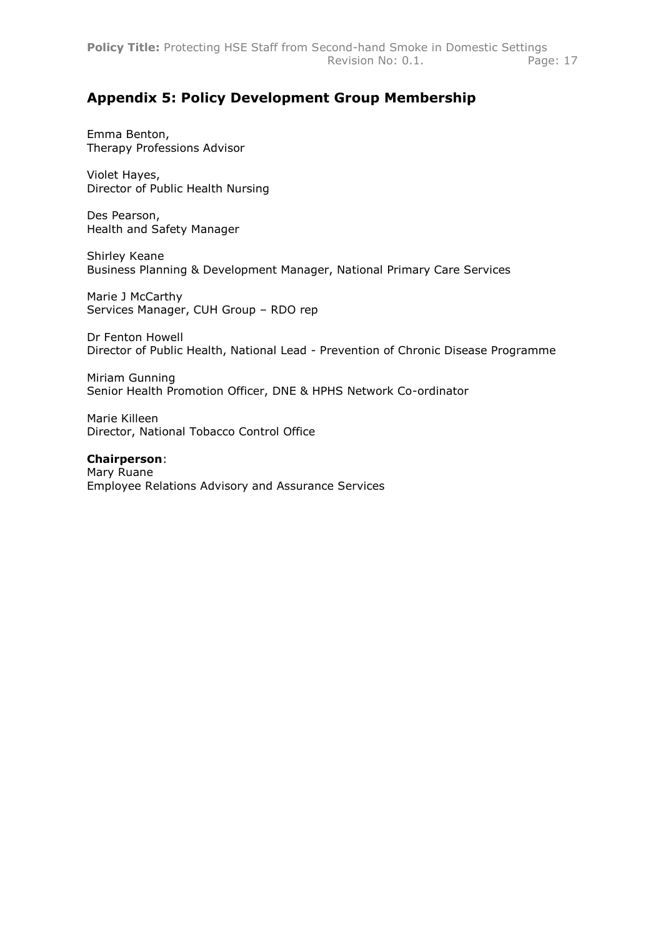### **Appendix 5: Policy Development Group Membership**

Emma Benton, Therapy Professions Advisor

Violet Hayes, Director of Public Health Nursing

Des Pearson, Health and Safety Manager

Shirley Keane Business Planning & Development Manager, National Primary Care Services

Marie J McCarthy Services Manager, CUH Group – RDO rep

Dr Fenton Howell Director of Public Health, National Lead - Prevention of Chronic Disease Programme

Miriam Gunning Senior Health Promotion Officer, DNE & HPHS Network Co-ordinator

Marie Killeen Director, National Tobacco Control Office

**Chairperson**: Mary Ruane Employee Relations Advisory and Assurance Services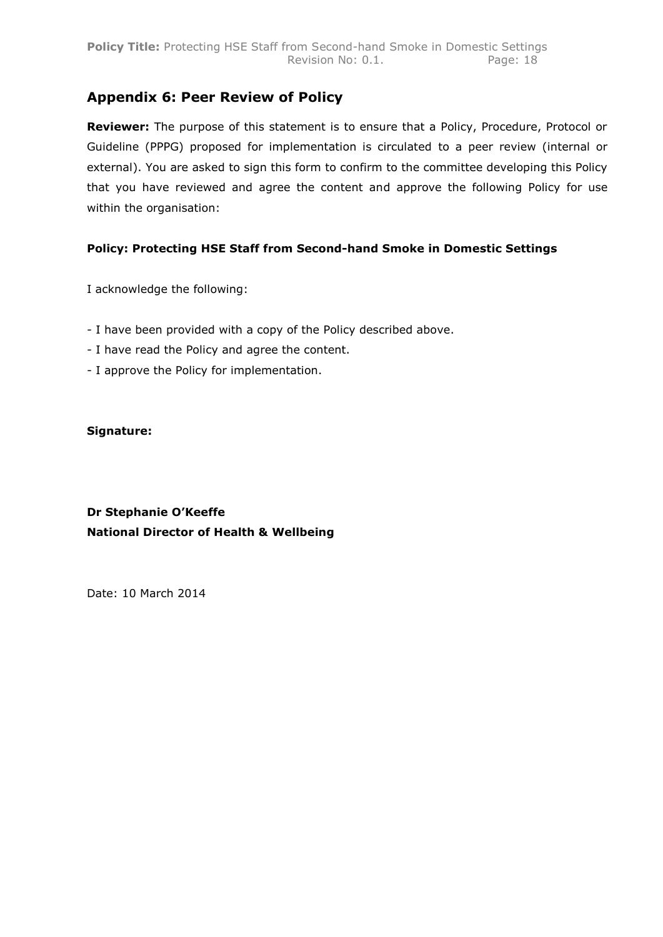### **Appendix 6: Peer Review of Policy**

**Reviewer:** The purpose of this statement is to ensure that a Policy, Procedure, Protocol or Guideline (PPPG) proposed for implementation is circulated to a peer review (internal or external). You are asked to sign this form to confirm to the committee developing this Policy that you have reviewed and agree the content and approve the following Policy for use within the organisation:

### **Policy: Protecting HSE Staff from Second-hand Smoke in Domestic Settings**

I acknowledge the following:

- I have been provided with a copy of the Policy described above.
- I have read the Policy and agree the content.
- I approve the Policy for implementation.

#### **Signature:**

### **Dr Stephanie O'Keeffe National Director of Health & Wellbeing**

Date: 10 March 2014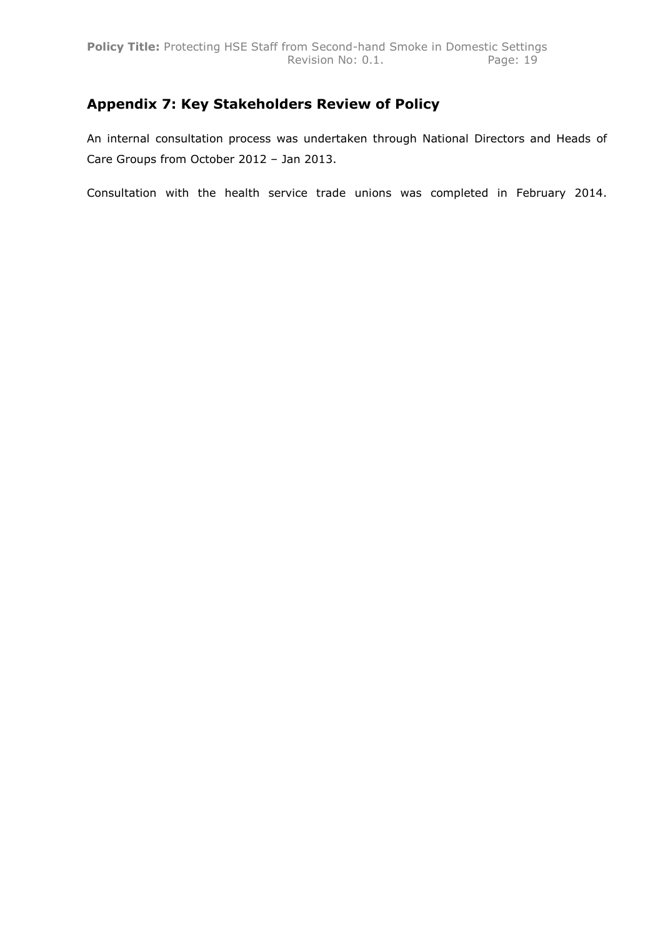### **Appendix 7: Key Stakeholders Review of Policy**

An internal consultation process was undertaken through National Directors and Heads of Care Groups from October 2012 – Jan 2013.

Consultation with the health service trade unions was completed in February 2014.